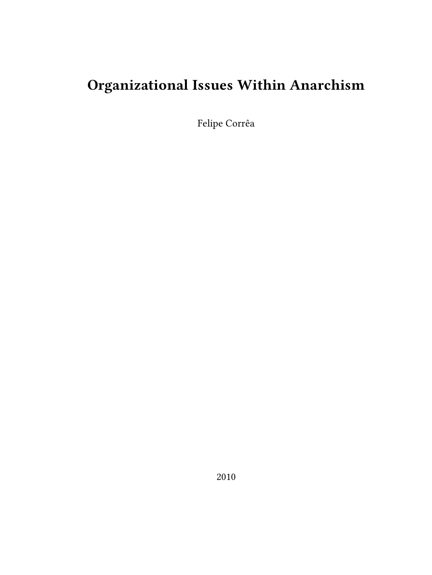# **Organizational Issues Within Anarchism**

Felipe Corrêa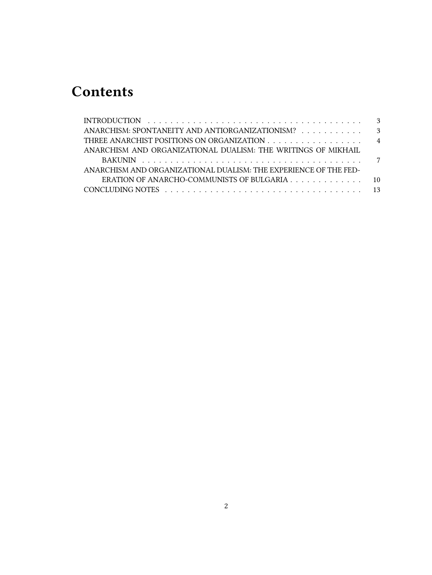## **Contents**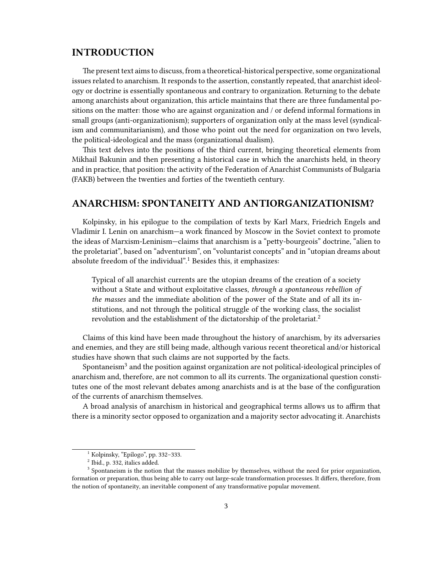#### <span id="page-2-0"></span>**INTRODUCTION**

The present text aims to discuss, from a theoretical-historical perspective, some organizational issues related to anarchism. It responds to the assertion, constantly repeated, that anarchist ideology or doctrine is essentially spontaneous and contrary to organization. Returning to the debate among anarchists about organization, this article maintains that there are three fundamental positions on the matter: those who are against organization and / or defend informal formations in small groups (anti-organizationism); supporters of organization only at the mass level (syndicalism and communitarianism), and those who point out the need for organization on two levels, the political-ideological and the mass (organizational dualism).

This text delves into the positions of the third current, bringing theoretical elements from Mikhail Bakunin and then presenting a historical case in which the anarchists held, in theory and in practice, that position: the activity of the Federation of Anarchist Communists of Bulgaria (FAKB) between the twenties and forties of the twentieth century.

#### <span id="page-2-1"></span>**ANARCHISM: SPONTANEITY AND ANTIORGANIZATIONISM?**

Kolpinsky, in his epilogue to the compilation of texts by Karl Marx, Friedrich Engels and Vladimir I. Lenin on anarchism—a work financed by Moscow in the Soviet context to promote the ideas of Marxism-Leninism—claims that anarchism is a "petty-bourgeois" doctrine, "alien to the proletariat", based on "adventurism", on "voluntarist concepts" and in "utopian dreams about absolute freedom of the individual".<sup>1</sup> Besides this, it emphasizes:

Typical of all anarchist currents are the utopian dreams of the creation of a society without a State and without exploitative classes, *through a spontaneous rebellion of the masses* and the immediate abolition of the power of the State and of all its institutions, and not through the political struggle of the working class, the socialist revolution and the establishment of the dictatorship of the proletariat.<sup>2</sup>

Claims of this kind have been made throughout the history of anarchism, by its adversaries and enemies, and they are still being made, although various recent theoretical and/or historical studies have shown that such claims are not supported by the facts.

Spontaneism<sup>3</sup> and the position against organization are not political-ideological principles of anarchism and, therefore, are not common to all its currents. The organizational question constitutes one of the most relevant debates among anarchists and is at the base of the configuration of the currents of anarchism themselves.

A broad analysis of anarchism in historical and geographical terms allows us to affirm that there is a minority sector opposed to organization and a majority sector advocating it. Anarchists

<sup>1</sup> Kolpinsky, "Epílogo", pp. 332–333.

 $^2$  Ibid., p. 332, italics added.

<sup>&</sup>lt;sup>3</sup> Spontaneism is the notion that the masses mobilize by themselves, without the need for prior organization, formation or preparation, thus being able to carry out large-scale transformation processes. It differs, therefore, from the notion of spontaneity, an inevitable component of any transformative popular movement.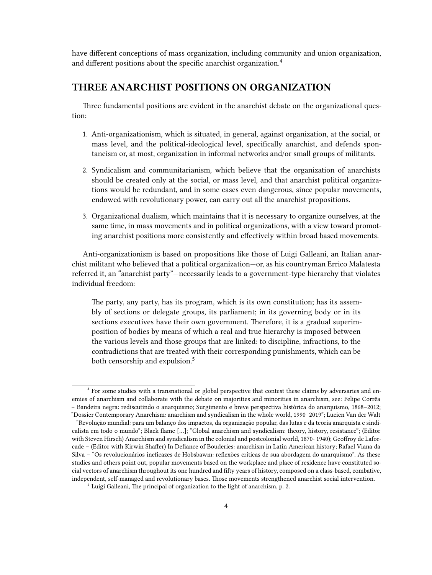have different conceptions of mass organization, including community and union organization, and different positions about the specific anarchist organization.<sup>4</sup>

#### <span id="page-3-0"></span>**THREE ANARCHIST POSITIONS ON ORGANIZATION**

Three fundamental positions are evident in the anarchist debate on the organizational question:

- 1. Anti-organizationism, which is situated, in general, against organization, at the social, or mass level, and the political-ideological level, specifically anarchist, and defends spontaneism or, at most, organization in informal networks and/or small groups of militants.
- 2. Syndicalism and communitarianism, which believe that the organization of anarchists should be created only at the social, or mass level, and that anarchist political organizations would be redundant, and in some cases even dangerous, since popular movements, endowed with revolutionary power, can carry out all the anarchist propositions.
- 3. Organizational dualism, which maintains that it is necessary to organize ourselves, at the same time, in mass movements and in political organizations, with a view toward promoting anarchist positions more consistently and effectively within broad based movements.

Anti-organizationism is based on propositions like those of Luigi Galleani, an Italian anarchist militant who believed that a political organization—or, as his countryman Errico Malatesta referred it, an "anarchist party"—necessarily leads to a government-type hierarchy that violates individual freedom:

The party, any party, has its program, which is its own constitution; has its assembly of sections or delegate groups, its parliament; in its governing body or in its sections executives have their own government. Therefore, it is a gradual superimposition of bodies by means of which a real and true hierarchy is imposed between the various levels and those groups that are linked: to discipline, infractions, to the contradictions that are treated with their corresponding punishments, which can be both censorship and expulsion.<sup>5</sup>

<sup>4</sup> For some studies with a transnational or global perspective that contest these claims by adversaries and enemies of anarchism and collaborate with the debate on majorities and minorities in anarchism, see: Felipe Corrêa – Bandeira negra: rediscutindo o anarquismo; Surgimento e breve perspectiva histórica do anarquismo, 1868–2012; "Dossier Contemporary Anarchism: anarchism and syndicalism in the whole world, 1990–2019"; Lucien Van der Walt – "Revolução mundial: para um balanço dos impactos, da organização popular, das lutas e da teoria anarquista e sindicalista em todo o mundo"; Black flame […]; "Global anarchism and syndicalism: theory, history, resistance"; (Editor with Steven Hirsch) Anarchism and syndicalism in the colonial and postcolonial world, 1870- 1940); Geoffroy de Laforcade – (Editor with Kirwin Shaffer) In Defiance of Bouderies: anarchism in Latin American history; Rafael Viana da Silva – "Os revolucionários ineficazes de Hobsbawm: reflexões críticas de sua abordagem do anarquismo". As these studies and others point out, popular movements based on the workplace and place of residence have constituted social vectors of anarchism throughout its one hundred and fifty years of history, composed on a class-based, combative, independent, self-managed and revolutionary bases. Those movements strengthened anarchist social intervention.

<sup>&</sup>lt;sup>5</sup> Luigi Galleani, The principal of organization to the light of anarchism, p. 2.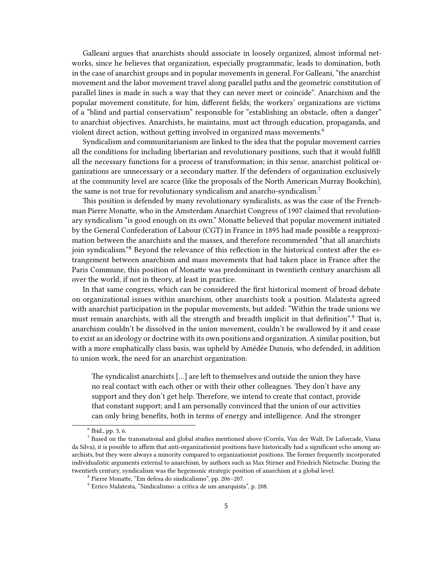Galleani argues that anarchists should associate in loosely organized, almost informal networks, since he believes that organization, especially programmatic, leads to domination, both in the case of anarchist groups and in popular movements in general. For Galleani, "the anarchist movement and the labor movement travel along parallel paths and the geometric constitution of parallel lines is made in such a way that they can never meet or coincide". Anarchism and the popular movement constitute, for him, different fields; the workers' organizations are victims of a "blind and partial conservatism" responsible for "establishing an obstacle, often a danger" to anarchist objectives. Anarchists, he maintains, must act through education, propaganda, and violent direct action, without getting involved in organized mass movements.<sup>6</sup>

Syndicalism and communitarianism are linked to the idea that the popular movement carries all the conditions for including libertarian and revolutionary positions, such that it would fulfill all the necessary functions for a process of transformation; in this sense, anarchist political organizations are unnecessary or a secondary matter. If the defenders of organization exclusively at the community level are scarce (like the proposals of the North American Murray Bookchin), the same is not true for revolutionary syndicalism and anarcho-syndicalism.<sup>7</sup>

This position is defended by many revolutionary syndicalists, as was the case of the Frenchman Pierre Monatte, who in the Amsterdam Anarchist Congress of 1907 claimed that revolutionary syndicalism "is good enough on its own." Monatte believed that popular movement initiated by the General Confederation of Labour (CGT) in France in 1895 had made possible a reapproximation between the anarchists and the masses, and therefore recommended "that all anarchists join syndicalism."<sup>8</sup> Beyond the relevance of this reflection in the historical context after the estrangement between anarchism and mass movements that had taken place in France after the Paris Commune, this position of Monatte was predominant in twentieth century anarchism all over the world, if not in theory, at least in practice.

In that same congress, which can be considered the first historical moment of broad debate on organizational issues within anarchism, other anarchists took a position. Malatesta agreed with anarchist participation in the popular movements, but added: "Within the trade unions we must remain anarchists, with all the strength and breadth implicit in that definition".<sup>9</sup> That is, anarchism couldn't be dissolved in the union movement, couldn't be swallowed by it and cease to exist as an ideology or doctrine with its own positions and organization. A similar position, but with a more emphatically class basis, was upheld by Amédée Dunois, who defended, in addition to union work, the need for an anarchist organization:

The syndicalist anarchists […] are left to themselves and outside the union they have no real contact with each other or with their other colleagues. They don't have any support and they don't get help. Therefore, we intend to create that contact, provide that constant support; and I am personally convinced that the union of our activities can only bring benefits, both in terms of energy and intelligence. And the stronger

<sup>6</sup> Ibid., pp. 3, 6.

<sup>7</sup> Based on the transnational and global studies mentioned above (Corrêa, Van der Walt, De Laforcade, Viana da Silva), it is possible to affirm that anti-organizationist positions have historically had a significant echo among anarchists, but they were always a minority compared to organizationist positions. The former frequently incorporated individualistic arguments external to anarchism, by authors such as Max Stirner and Friedrich Nietzsche. During the twentieth century, syndicalism was the hegemonic strategic position of anarchism at a global level.

<sup>8</sup> Pierre Monatte, "Em defesa do sindicalismo", pp. 206–207.

<sup>9</sup> Errico Malatesta, "Sindicalismo: a crítica de um anarquista", p. 208.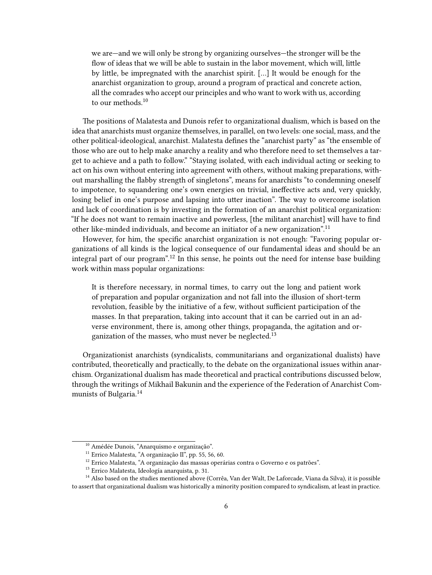we are—and we will only be strong by organizing ourselves—the stronger will be the flow of ideas that we will be able to sustain in the labor movement, which will, little by little, be impregnated with the anarchist spirit. […] It would be enough for the anarchist organization to group, around a program of practical and concrete action, all the comrades who accept our principles and who want to work with us, according to our methods.<sup>10</sup>

The positions of Malatesta and Dunois refer to organizational dualism, which is based on the idea that anarchists must organize themselves, in parallel, on two levels: one social, mass, and the other political-ideological, anarchist. Malatesta defines the "anarchist party" as "the ensemble of those who are out to help make anarchy a reality and who therefore need to set themselves a target to achieve and a path to follow." "Staying isolated, with each individual acting or seeking to act on his own without entering into agreement with others, without making preparations, without marshalling the flabby strength of singletons", means for anarchists "to condemning oneself to impotence, to squandering one's own energies on trivial, ineffective acts and, very quickly, losing belief in one's purpose and lapsing into utter inaction". The way to overcome isolation and lack of coordination is by investing in the formation of an anarchist political organization: "If he does not want to remain inactive and powerless, [the militant anarchist] will have to find other like-minded individuals, and become an initiator of a new organization".<sup>11</sup>

However, for him, the specific anarchist organization is not enough: "Favoring popular organizations of all kinds is the logical consequence of our fundamental ideas and should be an integral part of our program".<sup>12</sup> In this sense, he points out the need for intense base building work within mass popular organizations:

It is therefore necessary, in normal times, to carry out the long and patient work of preparation and popular organization and not fall into the illusion of short-term revolution, feasible by the initiative of a few, without sufficient participation of the masses. In that preparation, taking into account that it can be carried out in an adverse environment, there is, among other things, propaganda, the agitation and organization of the masses, who must never be neglected.<sup>13</sup>

Organizationist anarchists (syndicalists, communitarians and organizational dualists) have contributed, theoretically and practically, to the debate on the organizational issues within anarchism. Organizational dualism has made theoretical and practical contributions discussed below, through the writings of Mikhail Bakunin and the experience of the Federation of Anarchist Communists of Bulgaria.<sup>14</sup>

<sup>&</sup>lt;sup>10</sup> Amédée Dunois, "Anarquismo e organização".

<sup>11</sup> Errico Malatesta, "A organização II", pp. 55, 56, 60.

 $^{12}$  Errico Malatesta, "A organização das massas operárias contra o Governo e os patrões".

<sup>13</sup> Errico Malatesta, Ideología anarquista, p. 31.

<sup>&</sup>lt;sup>14</sup> Also based on the studies mentioned above (Corrêa, Van der Walt, De Laforcade, Viana da Silva), it is possible to assert that organizational dualism was historically a minority position compared to syndicalism, at least in practice.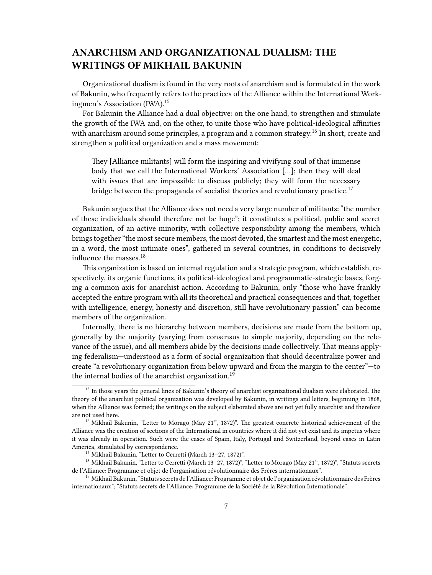### <span id="page-6-0"></span>**ANARCHISM AND ORGANIZATIONAL DUALISM: THE WRITINGS OF MIKHAIL BAKUNIN**

Organizational dualism is found in the very roots of anarchism and is formulated in the work of Bakunin, who frequently refers to the practices of the Alliance within the International Workingmen's Association (IWA).<sup>15</sup>

For Bakunin the Alliance had a dual objective: on the one hand, to strengthen and stimulate the growth of the IWA and, on the other, to unite those who have political-ideological affinities with anarchism around some principles, a program and a common strategy.<sup>16</sup> In short, create and strengthen a political organization and a mass movement:

They [Alliance militants] will form the inspiring and vivifying soul of that immense body that we call the International Workers' Association […]; then they will deal with issues that are impossible to discuss publicly; they will form the necessary bridge between the propaganda of socialist theories and revolutionary practice.<sup>17</sup>

Bakunin argues that the Alliance does not need a very large number of militants: "the number of these individuals should therefore not be huge"; it constitutes a political, public and secret organization, of an active minority, with collective responsibility among the members, which brings together "the most secure members, the most devoted, the smartest and the most energetic, in a word, the most intimate ones", gathered in several countries, in conditions to decisively influence the masses.<sup>18</sup>

This organization is based on internal regulation and a strategic program, which establish, respectively, its organic functions, its political-ideological and programmatic-strategic bases, forging a common axis for anarchist action. According to Bakunin, only "those who have frankly accepted the entire program with all its theoretical and practical consequences and that, together with intelligence, energy, honesty and discretion, still have revolutionary passion" can become members of the organization.

Internally, there is no hierarchy between members, decisions are made from the bottom up, generally by the majority (varying from consensus to simple majority, depending on the relevance of the issue), and all members abide by the decisions made collectively. That means applying federalism—understood as a form of social organization that should decentralize power and create "a revolutionary organization from below upward and from the margin to the center"—to the internal bodies of the anarchist organization.<sup>19</sup>

<sup>&</sup>lt;sup>15</sup> In those years the general lines of Bakunin's theory of anarchist organizational dualism were elaborated. The theory of the anarchist political organization was developed by Bakunin, in writings and letters, beginning in 1868, when the Alliance was formed; the writings on the subject elaborated above are not yet fully anarchist and therefore are not used here.

 $16$  Mikhail Bakunin, "Letter to Morago (May 21st, 1872)". The greatest concrete historical achievement of the Alliance was the creation of sections of the International in countries where it did not yet exist and its impetus where it was already in operation. Such were the cases of Spain, Italy, Portugal and Switzerland, beyond cases in Latin America, stimulated by correspondence.

<sup>17</sup> Mikhail Bakunin, "Letter to Cerretti (March 13–27, 1872)".

<sup>&</sup>lt;sup>18</sup> Mikhail Bakunin, "Letter to Cerretti (March 13-27, 1872)", "Letter to Morago (May 21<sup>st</sup>, 1872)", "Statuts secrets de l'Alliance: Programme et objet de l'organisation révolutionnaire des Frères internationaux".

<sup>&</sup>lt;sup>19</sup> Mikhail Bakunin, "Statuts secrets de l'Alliance: Programme et objet de l'organisation révolutionnaire des Frères internationaux"; "Statuts secrets de l'Alliance: Programme de la Société de la Révolution Internationale".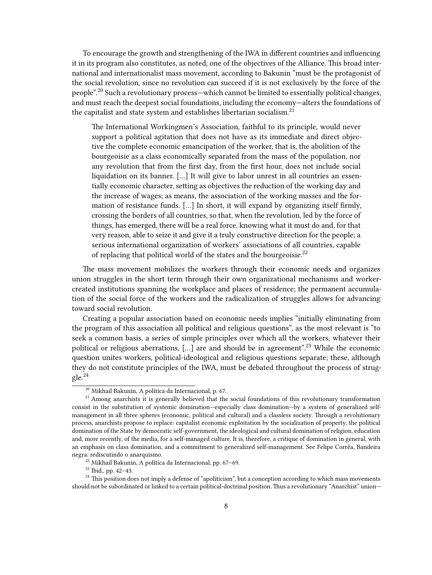To encourage the growth and strengthening of the IWA in different countries and influencing it in its program also constitutes, as noted, one of the objectives of the Alliance. This broad international and internationalist mass movement, according to Bakunin "must be the protagonist of the social revolution, since no revolution can succeed if it is not exclusively by the force of the people".<sup>20</sup> Such a revolutionary process—which cannot be limited to essentially political changes, and must reach the deepest social foundations, including the economy—alters the foundations of the capitalist and state system and establishes libertarian socialism.<sup>21</sup>

The International Workingmen's Association, faithful to its principle, would never support a political agitation that does not have as its immediate and direct objective the complete economic emancipation of the worker, that is, the abolition of the bourgeoisie as a class economically separated from the mass of the population, nor any revolution that from the first day, from the first hour, does not include social liquidation on its banner. […] It will give to labor unrest in all countries an essentially economic character, setting as objectives the reduction of the working day and the increase of wages; as means, the association of the working masses and the formation of resistance funds. […] In short, it will expand by organizing itself firmly, crossing the borders of all countries, so that, when the revolution, led by the force of things, has emerged, there will be a real force, knowing what it must do and, for that very reason, able to seize it and give it a truly constructive direction for the people; a serious international organization of workers' associations of all countries, capable of replacing that political world of the states and the bourgeoisie.<sup>22</sup>

The mass movement mobilizes the workers through their economic needs and organizes union struggles in the short term through their own organizational mechanisms and workercreated institutions spanning the workplace and places of residence; the permanent accumulation of the social force of the workers and the radicalization of struggles allows for advancing toward social revolution.

Creating a popular association based on economic needs implies "initially eliminating from the program of this association all political and religious questions", as the most relevant is "to seek a common basis, a series of simple principles over which all the workers, whatever their political or religious aberrations, [...] are and should be in agreement".<sup>23</sup> While the economic question unites workers, political-ideological and religious questions separate; these, although they do not constitute principles of the IWA, must be debated throughout the process of strug $g$ le.<sup>24</sup>

<sup>20</sup> Mikhail Bakunin, A política da Internacional, p. 67.

<sup>&</sup>lt;sup>21</sup> Among anarchists it is generally believed that the social foundations of this revolutionary transformation consist in the substitution of systemic domination—especially class domination—by a system of generalized selfmanagement in all three spheres (economic, political and cultural) and a classless society. Through a revolutionary process, anarchists propose to replace: capitalist economic exploitation by the socialization of property, the political domination of the State by democratic self-government, the ideological and cultural domination of religion, education and, more recently, of the media, for a self-managed culture. It is, therefore, a critique of domination in general, with an emphasis on class domination, and a commitment to generalized self-management. See Felipe Corrêa, Bandeira negra: rediscutindo o anarquismo.

<sup>22</sup> Mikhail Bakunin, A política da Internacional, pp. 67–69.

<sup>23</sup> Ibid., pp. 42–43.

<sup>&</sup>lt;sup>24</sup> This position does not imply a defense of "apoliticism", but a conception according to which mass movements should not be subordinated or linked to a certain political-doctrinal position. Thus a revolutionary "Anarchist" union—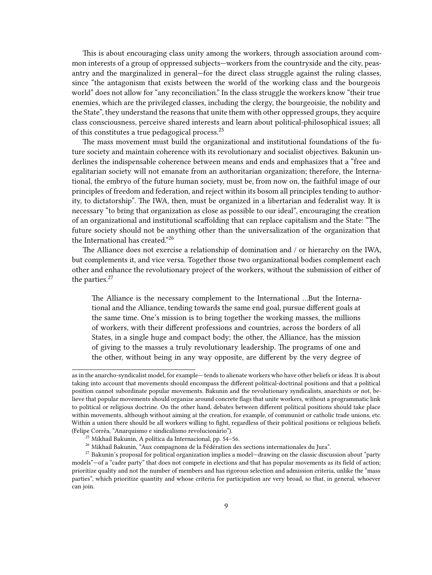This is about encouraging class unity among the workers, through association around common interests of a group of oppressed subjects—workers from the countryside and the city, peasantry and the marginalized in general—for the direct class struggle against the ruling classes, since "the antagonism that exists between the world of the working class and the bourgeois world" does not allow for "any reconciliation." In the class struggle the workers know "their true enemies, which are the privileged classes, including the clergy, the bourgeoisie, the nobility and the State", they understand the reasons that unite them with other oppressed groups, they acquire class consciousness, perceive shared interests and learn about political-philosophical issues; all of this constitutes a true pedagogical process.<sup>25</sup>

The mass movement must build the organizational and institutional foundations of the future society and maintain coherence with its revolutionary and socialist objectives. Bakunin underlines the indispensable coherence between means and ends and emphasizes that a "free and egalitarian society will not emanate from an authoritarian organization; therefore, the International, the embryo of the future human society, must be, from now on, the faithful image of our principles of freedom and federation, and reject within its bosom all principles tending to authority, to dictatorship". The IWA, then, must be organized in a libertarian and federalist way. It is necessary "to bring that organization as close as possible to our ideal", encouraging the creation of an organizational and institutional scaffolding that can replace capitalism and the State: "The future society should not be anything other than the universalization of the organization that the International has created."<sup>26</sup>

The Alliance does not exercise a relationship of domination and / or hierarchy on the IWA, but complements it, and vice versa. Together those two organizational bodies complement each other and enhance the revolutionary project of the workers, without the submission of either of the parties.<sup>27</sup>

The Alliance is the necessary complement to the International …But the International and the Alliance, tending towards the same end goal, pursue different goals at the same time. One's mission is to bring together the working masses, the millions of workers, with their different professions and countries, across the borders of all States, in a single huge and compact body; the other, the Alliance, has the mission of giving to the masses a truly revolutionary leadership. The programs of one and the other, without being in any way opposite, are different by the very degree of

as in the anarcho-syndicalist model, for example— tends to alienate workers who have other beliefs or ideas. It is about taking into account that movements should encompass the different political-doctrinal positions and that a political position cannot subordinate popular movements. Bakunin and the revolutionary syndicalists, anarchists or not, believe that popular movements should organize around concrete flags that unite workers, without a programmatic link to political or religious doctrine. On the other hand, debates between different political positions should take place within movements, although without aiming at the creation, for example, of communist or catholic trade unions, etc. Within a union there should be all workers willing to fight, regardless of their political positions or religious beliefs. (Felipe Corrêa, "Anarquismo e sindicalismo revolucionário").

 $^{25}$  Mikhail Bakunin, A política da Internacional, pp. 54–56.

<sup>&</sup>lt;sup>26</sup> Mikhail Bakunin, "Aux compagnons de la Fédération des sections internationales du Jura".

 $27$  Bakunin's proposal for political organization implies a model—drawing on the classic discussion about "party models"—of a "cadre party" that does not compete in elections and that has popular movements as its field of action; prioritize quality and not the number of members and has rigorous selection and admission criteria, unlike the "mass parties", which prioritize quantity and whose criteria for participation are very broad, so that, in general, whoever can join.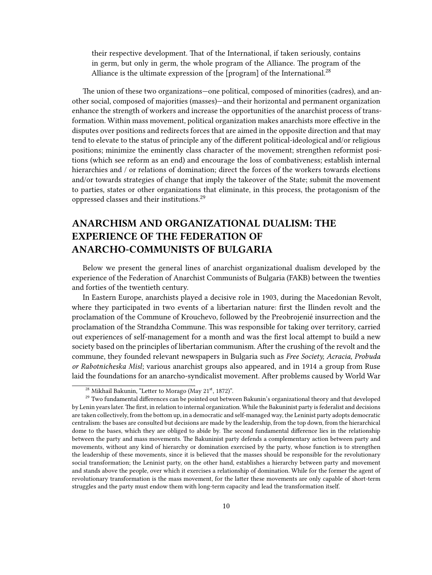their respective development. That of the International, if taken seriously, contains in germ, but only in germ, the whole program of the Alliance. The program of the Alliance is the ultimate expression of the [program] of the International.<sup>28</sup>

The union of these two organizations—one political, composed of minorities (cadres), and another social, composed of majorities (masses)—and their horizontal and permanent organization enhance the strength of workers and increase the opportunities of the anarchist process of transformation. Within mass movement, political organization makes anarchists more effective in the disputes over positions and redirects forces that are aimed in the opposite direction and that may tend to elevate to the status of principle any of the different political-ideological and/or religious positions; minimize the eminently class character of the movement; strengthen reformist positions (which see reform as an end) and encourage the loss of combativeness; establish internal hierarchies and / or relations of domination; direct the forces of the workers towards elections and/or towards strategies of change that imply the takeover of the State; submit the movement to parties, states or other organizations that eliminate, in this process, the protagonism of the oppressed classes and their institutions.<sup>29</sup>

## <span id="page-9-0"></span>**ANARCHISM AND ORGANIZATIONAL DUALISM: THE EXPERIENCE OF THE FEDERATION OF ANARCHO-COMMUNISTS OF BULGARIA**

Below we present the general lines of anarchist organizational dualism developed by the experience of the Federation of Anarchist Communists of Bulgaria (FAKB) between the twenties and forties of the twentieth century.

In Eastern Europe, anarchists played a decisive role in 1903, during the Macedonian Revolt, where they participated in two events of a libertarian nature: first the Ilinden revolt and the proclamation of the Commune of Krouchevo, followed by the Preobrojenié insurrection and the proclamation of the Strandzha Commune. This was responsible for taking over territory, carried out experiences of self-management for a month and was the first local attempt to build a new society based on the principles of libertarian communism. After the crushing of the revolt and the commune, they founded relevant newspapers in Bulgaria such as *Free Society, Acracia, Probuda or Rabotnicheska Misl*; various anarchist groups also appeared, and in 1914 a group from Ruse laid the foundations for an anarcho-syndicalist movement. After problems caused by World War

 $\frac{28 \text{ Mikhail Bakunin}}{28 \text{ Mkhail Bakunin}}$  "Letter to Morago (May 21st, 1872)".

 $^{29}$  Two fundamental differences can be pointed out between Bakunin's organizational theory and that developed by Lenin years later.The first, in relation to internal organization. While the Bakuninist party is federalist and decisions are taken collectively, from the bottom up, in a democratic and self-managed way, the Leninist party adopts democratic centralism: the bases are consulted but decisions are made by the leadership, from the top down, from the hierarchical dome to the bases, which they are obliged to abide by. The second fundamental difference lies in the relationship between the party and mass movements. The Bakuninist party defends a complementary action between party and movements, without any kind of hierarchy or domination exercised by the party, whose function is to strengthen the leadership of these movements, since it is believed that the masses should be responsible for the revolutionary social transformation; the Leninist party, on the other hand, establishes a hierarchy between party and movement and stands above the people, over which it exercises a relationship of domination. While for the former the agent of revolutionary transformation is the mass movement, for the latter these movements are only capable of short-term struggles and the party must endow them with long-term capacity and lead the transformation itself.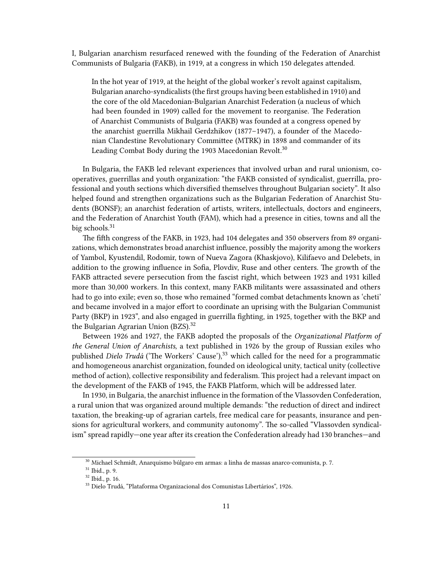I, Bulgarian anarchism resurfaced renewed with the founding of the Federation of Anarchist Communists of Bulgaria (FAKB), in 1919, at a congress in which 150 delegates attended.

In the hot year of 1919, at the height of the global worker's revolt against capitalism, Bulgarian anarcho-syndicalists (the first groups having been established in 1910) and the core of the old Macedonian-Bulgarian Anarchist Federation (a nucleus of which had been founded in 1909) called for the movement to reorganise. The Federation of Anarchist Communists of Bulgaria (FAKB) was founded at a congress opened by the anarchist guerrilla Mikhail Gerdzhikov (1877–1947), a founder of the Macedonian Clandestine Revolutionary Committee (MTRK) in 1898 and commander of its Leading Combat Body during the 1903 Macedonian Revolt.<sup>30</sup>

In Bulgaria, the FAKB led relevant experiences that involved urban and rural unionism, cooperatives, guerrillas and youth organization: "the FAKB consisted of syndicalist, guerrilla, professional and youth sections which diversified themselves throughout Bulgarian society". It also helped found and strengthen organizations such as the Bulgarian Federation of Anarchist Students (BONSF); an anarchist federation of artists, writers, intellectuals, doctors and engineers, and the Federation of Anarchist Youth (FAM), which had a presence in cities, towns and all the big schools.<sup>31</sup>

The fifth congress of the FAKB, in 1923, had 104 delegates and 350 observers from 89 organizations, which demonstrates broad anarchist influence, possibly the majority among the workers of Yambol, Kyustendil, Rodomir, town of Nueva Zagora (Khaskjovo), Kilifaevo and Delebets, in addition to the growing influence in Sofia, Plovdiv, Ruse and other centers. The growth of the FAKB attracted severe persecution from the fascist right, which between 1923 and 1931 killed more than 30,000 workers. In this context, many FAKB militants were assassinated and others had to go into exile; even so, those who remained "formed combat detachments known as 'cheti' and became involved in a major effort to coordinate an uprising with the Bulgarian Communist Party (BKP) in 1923", and also engaged in guerrilla fighting, in 1925, together with the BKP and the Bulgarian Agrarian Union (BZS).<sup>32</sup>

Between 1926 and 1927, the FAKB adopted the proposals of the *Organizational Platform of the General Union of Anarchists*, a text published in 1926 by the group of Russian exiles who published *Dielo Trudá* ('The Workers' Cause'),<sup>33</sup> which called for the need for a programmatic and homogeneous anarchist organization, founded on ideological unity, tactical unity (collective method of action), collective responsibility and federalism. This project had a relevant impact on the development of the FAKB of 1945, the FAKB Platform, which will be addressed later.

In 1930, in Bulgaria, the anarchist influence in the formation of the Vlassovden Confederation, a rural union that was organized around multiple demands: "the reduction of direct and indirect taxation, the breaking-up of agrarian cartels, free medical care for peasants, insurance and pensions for agricultural workers, and community autonomy". The so-called "Vlassovden syndicalism" spread rapidly—one year after its creation the Confederation already had 130 branches—and

 $^{30}$  Michael Schmidt, Anarquismo búlgaro em armas: a linha de massas anarco-comunista, p. 7.

<sup>31</sup> Ibid., p. 9.

<sup>32</sup> Ibid., p. 16.

<sup>33</sup> Dielo Trudá, "Plataforma Organizacional dos Comunistas Libertários", 1926.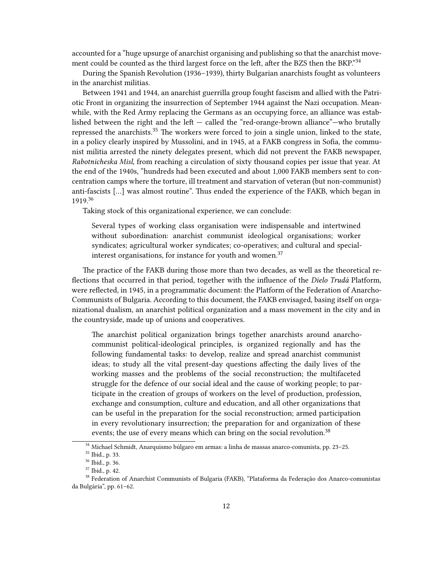accounted for a "huge upsurge of anarchist organising and publishing so that the anarchist movement could be counted as the third largest force on the left, after the BZS then the BKP."<sup>34</sup>

During the Spanish Revolution (1936–1939), thirty Bulgarian anarchists fought as volunteers in the anarchist militias.

Between 1941 and 1944, an anarchist guerrilla group fought fascism and allied with the Patriotic Front in organizing the insurrection of September 1944 against the Nazi occupation. Meanwhile, with the Red Army replacing the Germans as an occupying force, an alliance was established between the right and the left  $-$  called the "red-orange-brown alliance" $-$ who brutally repressed the anarchists.<sup>35</sup> The workers were forced to join a single union, linked to the state, in a policy clearly inspired by Mussolini, and in 1945, at a FAKB congress in Sofia, the communist militia arrested the ninety delegates present, which did not prevent the FAKB newspaper, *Rabotnicheska Misl*, from reaching a circulation of sixty thousand copies per issue that year. At the end of the 1940s, "hundreds had been executed and about 1,000 FAKB members sent to concentration camps where the torture, ill treatment and starvation of veteran (but non-communist) anti-fascists […] was almost routine". Thus ended the experience of the FAKB, which began in 1919.<sup>36</sup>

Taking stock of this organizational experience, we can conclude:

Several types of working class organisation were indispensable and intertwined without subordination: anarchist communist ideological organisations; worker syndicates; agricultural worker syndicates; co-operatives; and cultural and specialinterest organisations, for instance for youth and women. $37$ 

The practice of the FAKB during those more than two decades, as well as the theoretical reflections that occurred in that period, together with the influence of the *Dielo Trudá* Platform, were reflected, in 1945, in a programmatic document: the Platform of the Federation of Anarcho-Communists of Bulgaria. According to this document, the FAKB envisaged, basing itself on organizational dualism, an anarchist political organization and a mass movement in the city and in the countryside, made up of unions and cooperatives.

The anarchist political organization brings together anarchists around anarchocommunist political-ideological principles, is organized regionally and has the following fundamental tasks: to develop, realize and spread anarchist communist ideas; to study all the vital present-day questions affecting the daily lives of the working masses and the problems of the social reconstruction; the multifaceted struggle for the defence of our social ideal and the cause of working people; to participate in the creation of groups of workers on the level of production, profession, exchange and consumption, culture and education, and all other organizations that can be useful in the preparation for the social reconstruction; armed participation in every revolutionary insurrection; the preparation for and organization of these events; the use of every means which can bring on the social revolution.<sup>38</sup>

<sup>34</sup> Michael Schmidt, Anarquismo búlgaro em armas: a linha de massas anarco-comunista, pp. 23–25.

<sup>35</sup> Ibid., p. 33.

<sup>36</sup> Ibid., p. 36.

<sup>37</sup> Ibid., p. 42.

<sup>38</sup> Federation of Anarchist Communists of Bulgaria (FAKB), "Plataforma da Federação dos Anarco-comunistas da Bulgária", pp. 61–62.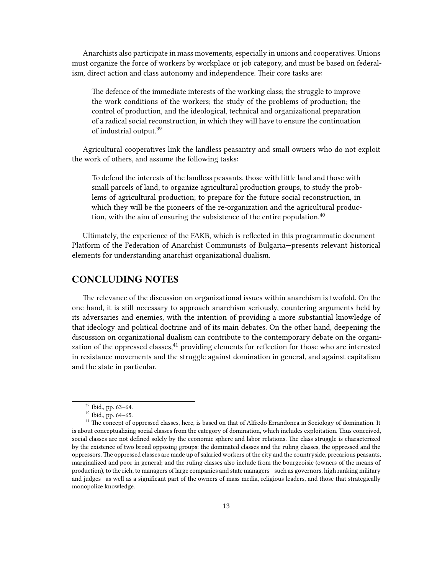Anarchists also participate in mass movements, especially in unions and cooperatives. Unions must organize the force of workers by workplace or job category, and must be based on federalism, direct action and class autonomy and independence. Their core tasks are:

The defence of the immediate interests of the working class; the struggle to improve the work conditions of the workers; the study of the problems of production; the control of production, and the ideological, technical and organizational preparation of a radical social reconstruction, in which they will have to ensure the continuation of industrial output.<sup>39</sup>

Agricultural cooperatives link the landless peasantry and small owners who do not exploit the work of others, and assume the following tasks:

To defend the interests of the landless peasants, those with little land and those with small parcels of land; to organize agricultural production groups, to study the problems of agricultural production; to prepare for the future social reconstruction, in which they will be the pioneers of the re-organization and the agricultural production, with the aim of ensuring the subsistence of the entire population.<sup>40</sup>

Ultimately, the experience of the FAKB, which is reflected in this programmatic document— Platform of the Federation of Anarchist Communists of Bulgaria—presents relevant historical elements for understanding anarchist organizational dualism.

#### <span id="page-12-0"></span>**CONCLUDING NOTES**

The relevance of the discussion on organizational issues within anarchism is twofold. On the one hand, it is still necessary to approach anarchism seriously, countering arguments held by its adversaries and enemies, with the intention of providing a more substantial knowledge of that ideology and political doctrine and of its main debates. On the other hand, deepening the discussion on organizational dualism can contribute to the contemporary debate on the organization of the oppressed classes, $41$  providing elements for reflection for those who are interested in resistance movements and the struggle against domination in general, and against capitalism and the state in particular.

<sup>39</sup> Ibid., pp. 63–64.

<sup>40</sup> Ibid., pp. 64–65.

<sup>&</sup>lt;sup>41</sup> The concept of oppressed classes, here, is based on that of Alfredo Errandonea in Sociology of domination. It is about conceptualizing social classes from the category of domination, which includes exploitation. Thus conceived, social classes are not defined solely by the economic sphere and labor relations. The class struggle is characterized by the existence of two broad opposing groups: the dominated classes and the ruling classes, the oppressed and the oppressors. The oppressed classes are made up of salaried workers of the city and the countryside, precarious peasants, marginalized and poor in general; and the ruling classes also include from the bourgeoisie (owners of the means of production), to the rich, to managers of large companies and state managers—such as governors, high ranking military and judges—as well as a significant part of the owners of mass media, religious leaders, and those that strategically monopolize knowledge.